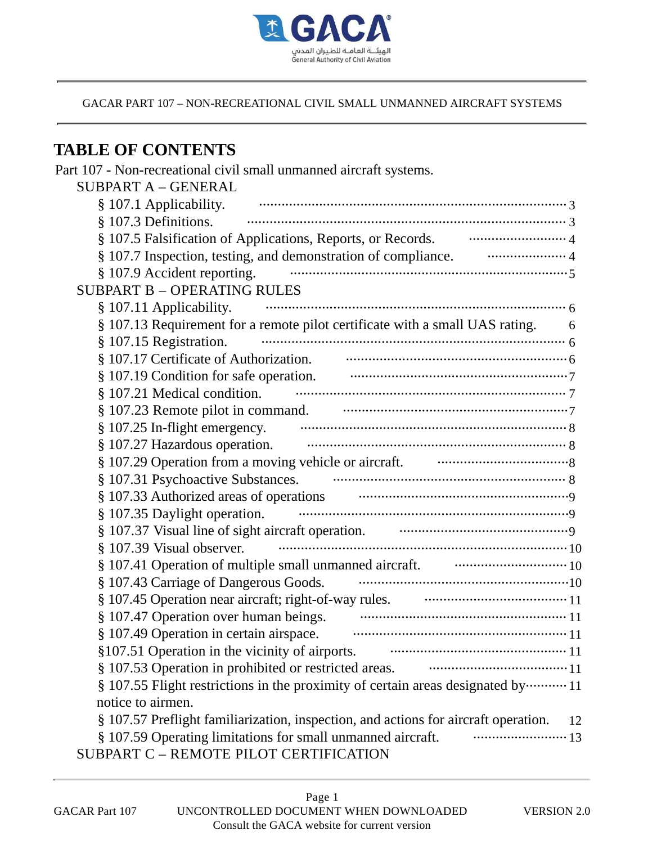

# **TABLE OF CONTENTS**

| Part 107 - Non-recreational civil small unmanned aircraft systems.                                              |
|-----------------------------------------------------------------------------------------------------------------|
| <b>SUBPART A - GENERAL</b>                                                                                      |
| § 107.1 Applicability.                                                                                          |
| § 107.3 Definitions.                                                                                            |
| § 107.5 Falsification of Applications, Reports, or Records. <b>Conservers</b> 4                                 |
| § 107.7 Inspection, testing, and demonstration of compliance. <b>The Community</b> 4                            |
| § 107.9 Accident reporting.                                                                                     |
| <b>SUBPART B - OPERATING RULES</b>                                                                              |
| § 107.11 Applicability.                                                                                         |
| § 107.13 Requirement for a remote pilot certificate with a small UAS rating.<br>6                               |
| § 107.15 Registration.                                                                                          |
| § 107.17 Certificate of Authorization. The Communication of                                                     |
|                                                                                                                 |
| § 107.21 Medical condition.                                                                                     |
|                                                                                                                 |
| § 107.25 In-flight emergency.                                                                                   |
| § 107.27 Hazardous operation.                                                                                   |
| § 107.29 Operation from a moving vehicle or aircraft. materials are all the set of a set of a set of a set of a |
| § 107.31 Psychoactive Substances.                                                                               |
| § 107.33 Authorized areas of operations manufactured areas of perations                                         |
| § 107.35 Daylight operation.                                                                                    |
|                                                                                                                 |
| § 107.39 Visual observer.                                                                                       |
| § 107.41 Operation of multiple small unmanned aircraft. manuscration of multiple small unmanned aircraft.       |
| § 107.43 Carriage of Dangerous Goods.                                                                           |
| § 107.45 Operation near aircraft; right-of-way rules. <b>Conserverse and Strategiers</b> 11                     |
| § 107.47 Operation over human beings.                                                                           |
| § 107.49 Operation in certain airspace.                                                                         |
| §107.51 Operation in the vicinity of airports.                                                                  |
| § 107.53 Operation in prohibited or restricted areas.                                                           |
| § 107.55 Flight restrictions in the proximity of certain areas designated by ··········· 11                     |
| notice to airmen.                                                                                               |
| § 107.57 Preflight familiarization, inspection, and actions for aircraft operation.<br>12                       |
| § 107.59 Operating limitations for small unmanned aircraft.                                                     |
| SUBPART C - REMOTE PILOT CERTIFICATION                                                                          |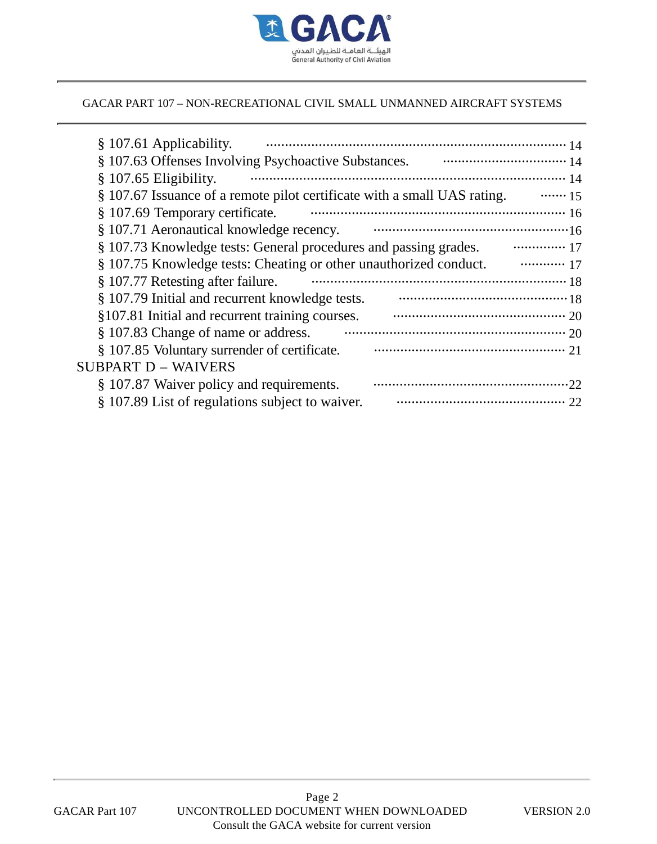

| § 107.61 Applicability.                                                  |             |
|--------------------------------------------------------------------------|-------------|
|                                                                          |             |
| § 107.65 Eligibility.                                                    |             |
| § 107.67 Issuance of a remote pilot certificate with a small UAS rating. | $\cdots$ 15 |
| § 107.69 Temporary certificate.                                          |             |
| § 107.71 Aeronautical knowledge recency.                                 |             |
| § 107.73 Knowledge tests: General procedures and passing grades.         |             |
| § 107.75 Knowledge tests: Cheating or other unauthorized conduct.        |             |
| § 107.77 Retesting after failure.                                        |             |
| § 107.79 Initial and recurrent knowledge tests.                          |             |
| §107.81 Initial and recurrent training courses.                          |             |
| § 107.83 Change of name or address.                                      |             |
| § 107.85 Voluntary surrender of certificate.                             |             |
| <b>SUBPART D – WAIVERS</b>                                               |             |
| § 107.87 Waiver policy and requirements.                                 |             |
| § 107.89 List of regulations subject to waiver.                          |             |
|                                                                          |             |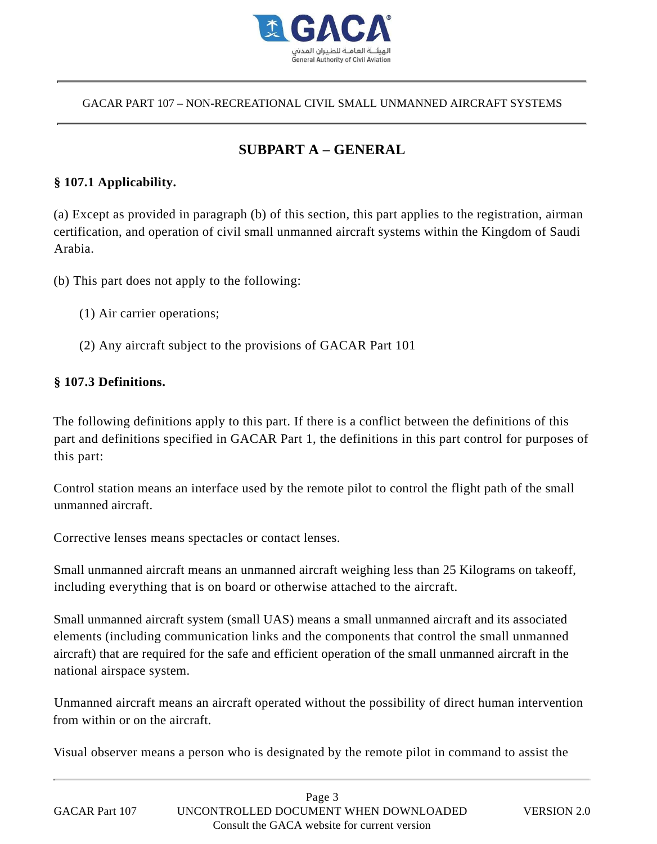

# **SUBPART A – GENERAL**

#### **§ 107.1 Applicability.**

(a) Except as provided in paragraph (b) of this section, this part applies to the registration, airman certification, and operation of civil small unmanned aircraft systems within the Kingdom of Saudi Arabia.

(b) This part does not apply to the following:

- (1) Air carrier operations;
- (2) Any aircraft subject to the provisions of GACAR Part 101

#### **§ 107.3 Definitions.**

The following definitions apply to this part. If there is a conflict between the definitions of this part and definitions specified in GACAR Part 1, the definitions in this part control for purposes of this part:

Control station means an interface used by the remote pilot to control the flight path of the small unmanned aircraft.

Corrective lenses means spectacles or contact lenses.

Small unmanned aircraft means an unmanned aircraft weighing less than 25 Kilograms on takeoff, including everything that is on board or otherwise attached to the aircraft.

Small unmanned aircraft system (small UAS) means a small unmanned aircraft and its associated elements (including communication links and the components that control the small unmanned aircraft) that are required for the safe and efficient operation of the small unmanned aircraft in the national airspace system.

Unmanned aircraft means an aircraft operated without the possibility of direct human intervention from within or on the aircraft.

Visual observer means a person who is designated by the remote pilot in command to assist the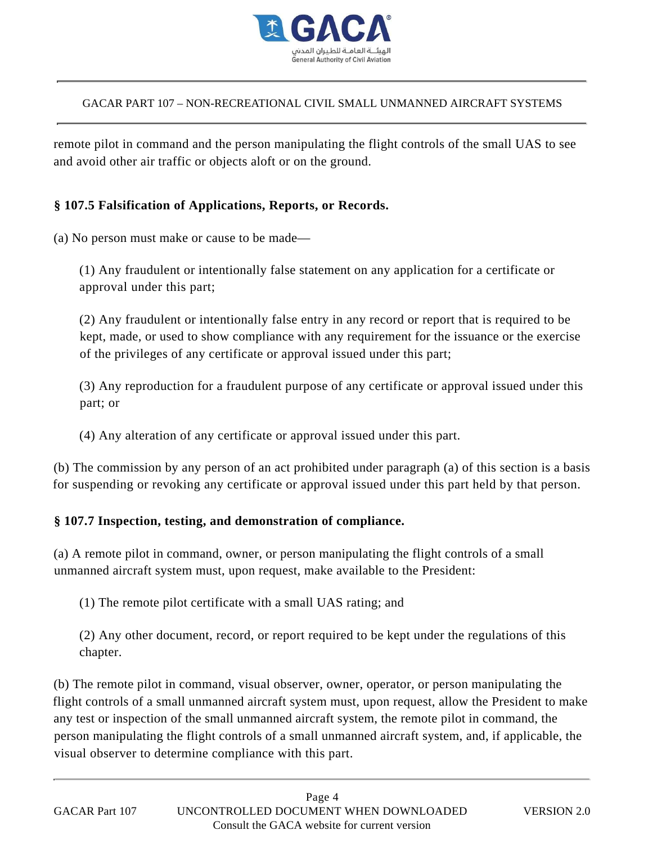

remote pilot in command and the person manipulating the flight controls of the small UAS to see and avoid other air traffic or objects aloft or on the ground.

### **§ 107.5 Falsification of Applications, Reports, or Records.**

(a) No person must make or cause to be made—

(1) Any fraudulent or intentionally false statement on any application for a certificate or approval under this part;

(2) Any fraudulent or intentionally false entry in any record or report that is required to be kept, made, or used to show compliance with any requirement for the issuance or the exercise of the privileges of any certificate or approval issued under this part;

(3) Any reproduction for a fraudulent purpose of any certificate or approval issued under this part; or

(4) Any alteration of any certificate or approval issued under this part.

(b) The commission by any person of an act prohibited under paragraph (a) of this section is a basis for suspending or revoking any certificate or approval issued under this part held by that person.

#### **§ 107.7 Inspection, testing, and demonstration of compliance.**

(a) A remote pilot in command, owner, or person manipulating the flight controls of a small unmanned aircraft system must, upon request, make available to the President:

(1) The remote pilot certificate with a small UAS rating; and

(2) Any other document, record, or report required to be kept under the regulations of this chapter.

(b) The remote pilot in command, visual observer, owner, operator, or person manipulating the flight controls of a small unmanned aircraft system must, upon request, allow the President to make any test or inspection of the small unmanned aircraft system, the remote pilot in command, the person manipulating the flight controls of a small unmanned aircraft system, and, if applicable, the visual observer to determine compliance with this part.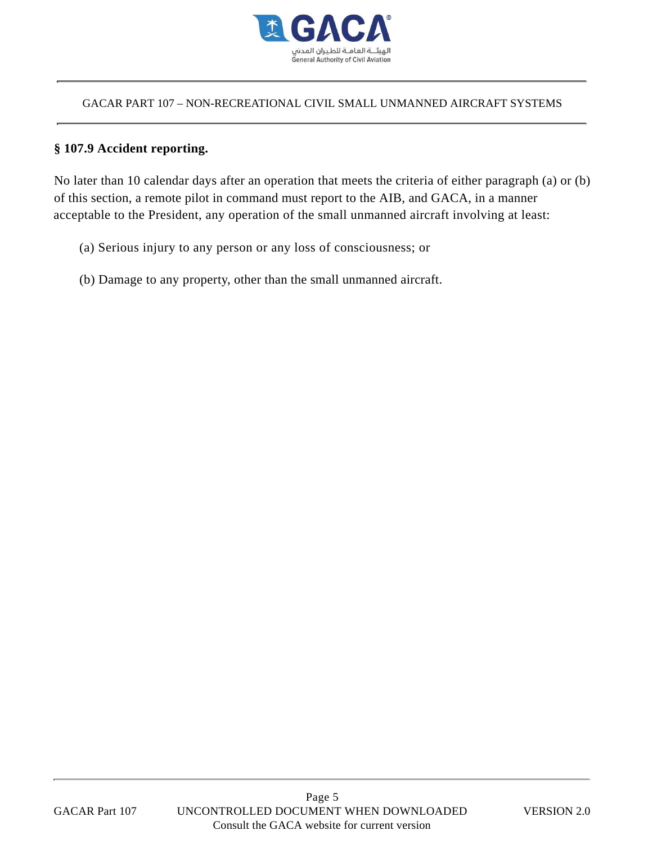

#### **§ 107.9 Accident reporting.**

No later than 10 calendar days after an operation that meets the criteria of either paragraph (a) or (b) of this section, a remote pilot in command must report to the AIB, and GACA, in a manner acceptable to the President, any operation of the small unmanned aircraft involving at least:

- (a) Serious injury to any person or any loss of consciousness; or
- (b) Damage to any property, other than the small unmanned aircraft.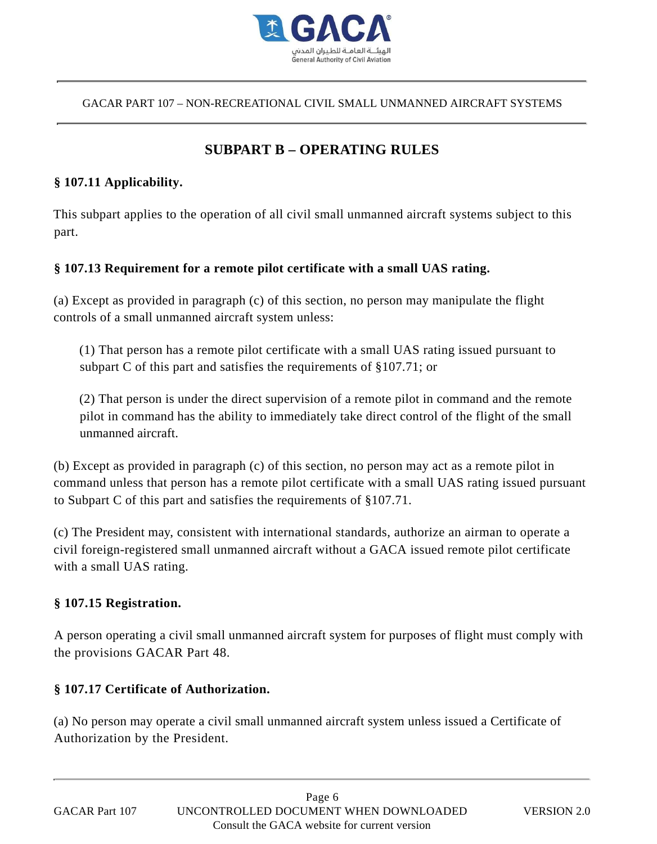

# **SUBPART B – OPERATING RULES**

#### **§ 107.11 Applicability.**

This subpart applies to the operation of all civil small unmanned aircraft systems subject to this part.

#### **§ 107.13 Requirement for a remote pilot certificate with a small UAS rating.**

(a) Except as provided in paragraph (c) of this section, no person may manipulate the flight controls of a small unmanned aircraft system unless:

(1) That person has a remote pilot certificate with a small UAS rating issued pursuant to subpart C of this part and satisfies the requirements of §107.71; or

(2) That person is under the direct supervision of a remote pilot in command and the remote pilot in command has the ability to immediately take direct control of the flight of the small unmanned aircraft.

(b) Except as provided in paragraph (c) of this section, no person may act as a remote pilot in command unless that person has a remote pilot certificate with a small UAS rating issued pursuant to Subpart C of this part and satisfies the requirements of §107.71.

(c) The President may, consistent with international standards, authorize an airman to operate a civil foreign-registered small unmanned aircraft without a GACA issued remote pilot certificate with a small UAS rating. CACAR PART 107 – NON-RECREATIONAL CIVIL SMALL IDNAANNED AIRCRAFT SYSTEMS<br>
SUBPART B – OPERATING RULES<br>
107.11 Applicability.<br>
This subpart applies to the operation of all civil small unnanned direcraft systems subject to t

#### **§ 107.15 Registration.**

A person operating a civil small unmanned aircraft system for purposes of flight must comply with the provisions GACAR Part 48.

#### **§ 107.17 Certificate of Authorization.**

(a) No person may operate a civil small unmanned aircraft system unless issued a Certificate of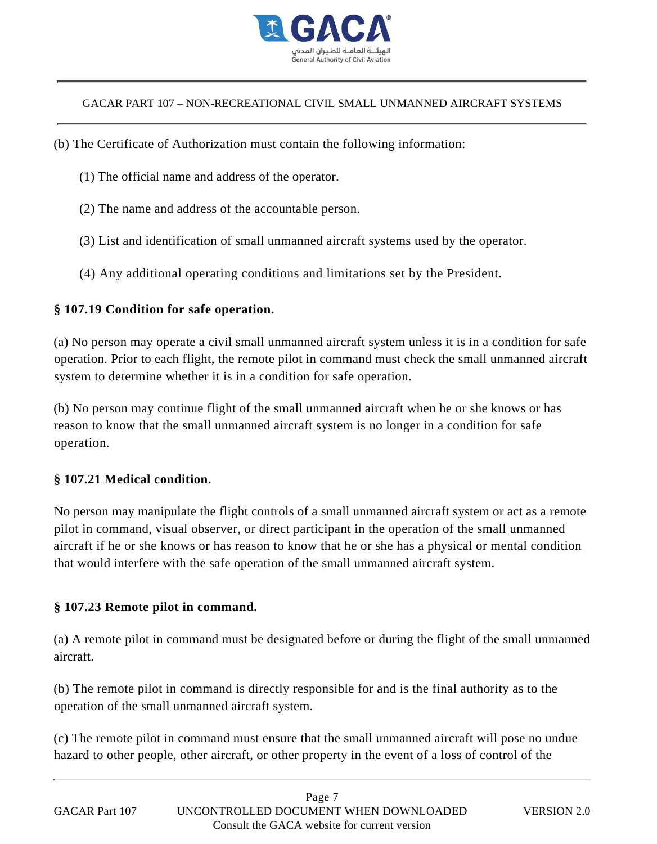

- (b) The Certificate of Authorization must contain the following information:
	- (1) The official name and address of the operator.
	- (2) The name and address of the accountable person.
	- (3) List and identification of small unmanned aircraft systems used by the operator.
	- (4) Any additional operating conditions and limitations set by the President.

#### **§ 107.19 Condition for safe operation.**

(a) No person may operate a civil small unmanned aircraft system unless it is in a condition for safe operation. Prior to each flight, the remote pilot in command must check the small unmanned aircraft system to determine whether it is in a condition for safe operation.

(b) No person may continue flight of the small unmanned aircraft when he or she knows or has reason to know that the small unmanned aircraft system is no longer in a condition for safe operation.

#### **§ 107.21 Medical condition.**

No person may manipulate the flight controls of a small unmanned aircraft system or act as a remote pilot in command, visual observer, or direct participant in the operation of the small unmanned aircraft if he or she knows or has reason to know that he or she has a physical or mental condition that would interfere with the safe operation of the small unmanned aircraft system.

#### **§ 107.23 Remote pilot in command.**

(a) A remote pilot in command must be designated before or during the flight of the small unmanned aircraft.

(b) The remote pilot in command is directly responsible for and is the final authority as to the operation of the small unmanned aircraft system.

(c) The remote pilot in command must ensure that the small unmanned aircraft will pose no undue hazard to other people, other aircraft, or other property in the event of a loss of control of the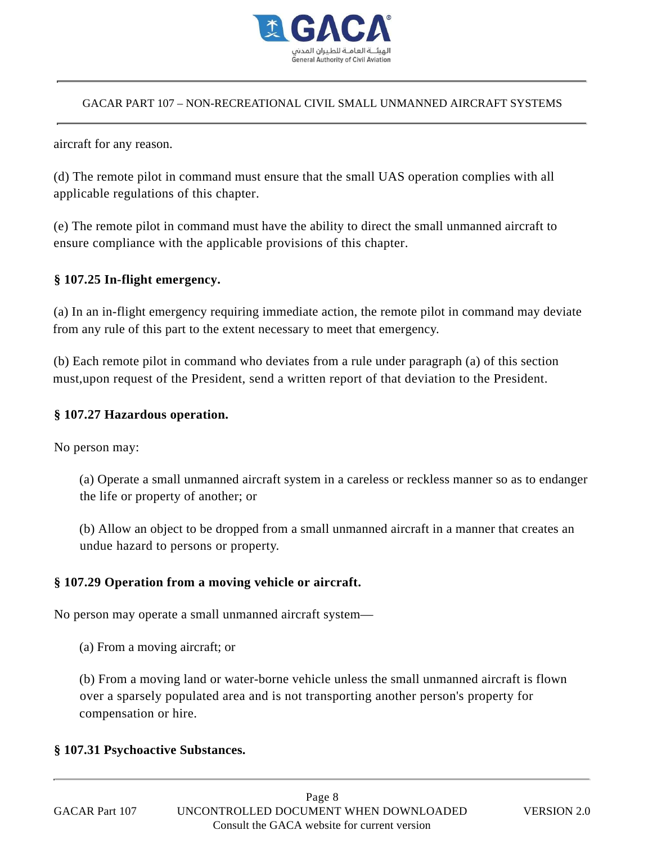

aircraft for any reason.

(d) The remote pilot in command must ensure that the small UAS operation complies with all applicable regulations of this chapter.

(e) The remote pilot in command must have the ability to direct the small unmanned aircraft to ensure compliance with the applicable provisions of this chapter.

#### **§ 107.25 In-flight emergency.**

(a) In an in-flight emergency requiring immediate action, the remote pilot in command may deviate from any rule of this part to the extent necessary to meet that emergency.

(b) Each remote pilot in command who deviates from a rule under paragraph (a) of this section must,upon request of the President, send a written report of that deviation to the President.

#### **§ 107.27 Hazardous operation.**

No person may:

(a) Operate a small unmanned aircraft system in a careless or reckless manner so as to endanger the life or property of another; or

(b) Allow an object to be dropped from a small unmanned aircraft in a manner that creates an undue hazard to persons or property.

#### **§ 107.29 Operation from a moving vehicle or aircraft.**

No person may operate a small unmanned aircraft system—

(a) From a moving aircraft; or

(b) From a moving land or water-borne vehicle unless the small unmanned aircraft is flown over a sparsely populated area and is not transporting another person's property for compensation or hire.

#### **§ 107.31 Psychoactive Substances.**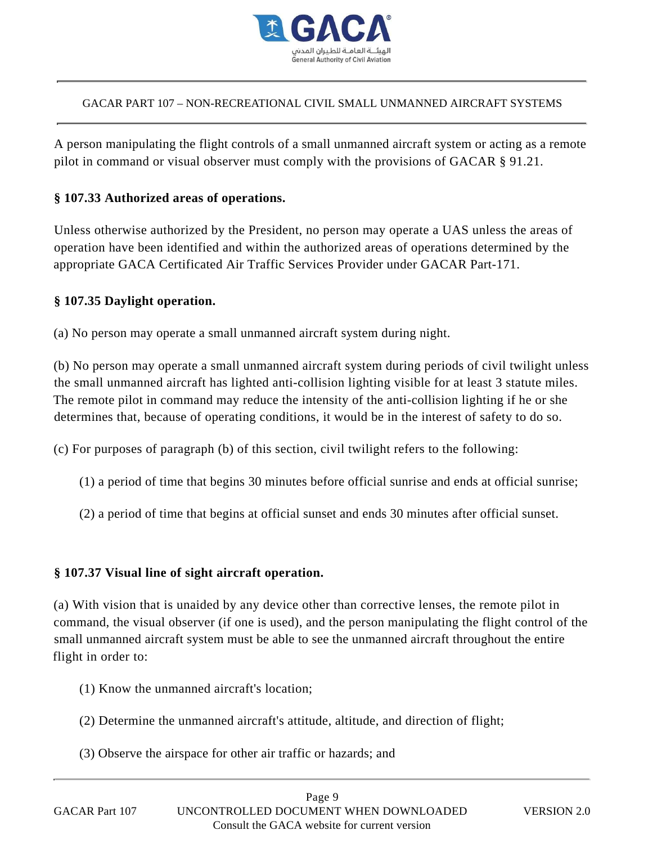

A person manipulating the flight controls of a small unmanned aircraft system or acting as a remote pilot in command or visual observer must comply with the provisions of GACAR § 91.21.

### **§ 107.33 Authorized areas of operations.**

Unless otherwise authorized by the President, no person may operate a UAS unless the areas of operation have been identified and within the authorized areas of operations determined by the appropriate GACA Certificated Air Traffic Services Provider under GACAR Part-171.

#### **§ 107.35 Daylight operation.**

(a) No person may operate a small unmanned aircraft system during night.

(b) No person may operate a small unmanned aircraft system during periods of civil twilight unless the small unmanned aircraft has lighted anti-collision lighting visible for at least 3 statute miles. The remote pilot in command may reduce the intensity of the anti-collision lighting if he or she determines that, because of operating conditions, it would be in the interest of safety to do so.

(c) For purposes of paragraph (b) of this section, civil twilight refers to the following:

- (1) a period of time that begins 30 minutes before official sunrise and ends at official sunrise;
- (2) a period of time that begins at official sunset and ends 30 minutes after official sunset.

#### **§ 107.37 Visual line of sight aircraft operation.**

(a) With vision that is unaided by any device other than corrective lenses, the remote pilot in command, the visual observer (if one is used), and the person manipulating the flight control of the small unmanned aircraft system must be able to see the unmanned aircraft throughout the entire flight in order to:

- (1) Know the unmanned aircraft's location;
- (2) Determine the unmanned aircraft's attitude, altitude, and direction of flight;
- (3) Observe the airspace for other air traffic or hazards; and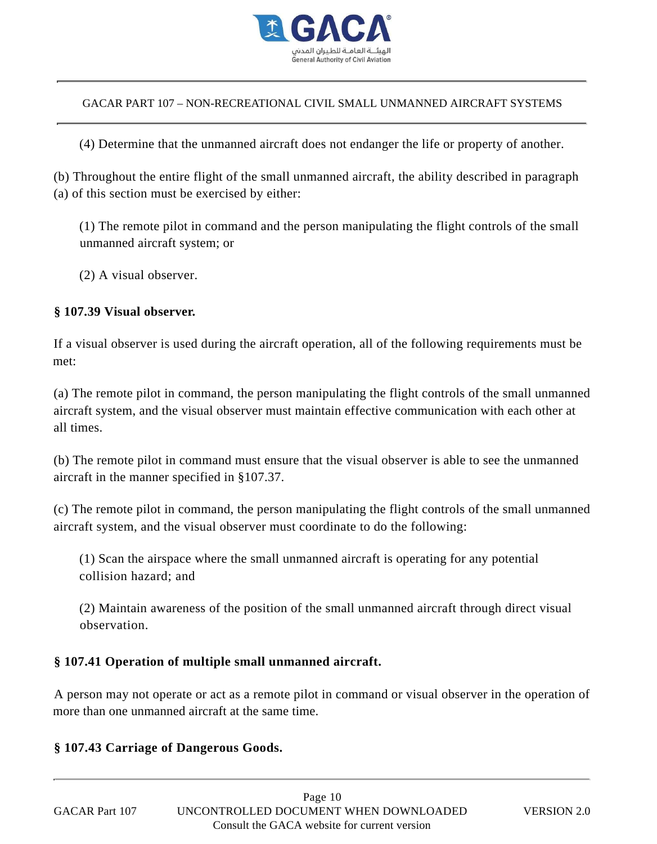

(4) Determine that the unmanned aircraft does not endanger the life or property of another.

(b) Throughout the entire flight of the small unmanned aircraft, the ability described in paragraph (a) of this section must be exercised by either:

(1) The remote pilot in command and the person manipulating the flight controls of the small unmanned aircraft system; or

(2) A visual observer.

### **§ 107.39 Visual observer.**

If a visual observer is used during the aircraft operation, all of the following requirements must be met:

(a) The remote pilot in command, the person manipulating the flight controls of the small unmanned aircraft system, and the visual observer must maintain effective communication with each other at all times.

(b) The remote pilot in command must ensure that the visual observer is able to see the unmanned aircraft in the manner specified in §107.37.

(c) The remote pilot in command, the person manipulating the flight controls of the small unmanned aircraft system, and the visual observer must coordinate to do the following:

(1) Scan the airspace where the small unmanned aircraft is operating for any potential collision hazard; and

(2) Maintain awareness of the position of the small unmanned aircraft through direct visual observation.

#### **§ 107.41 Operation of multiple small unmanned aircraft.**

A person may not operate or act as a remote pilot in command or visual observer in the operation of more than one unmanned aircraft at the same time.

#### **§ 107.43 Carriage of Dangerous Goods.**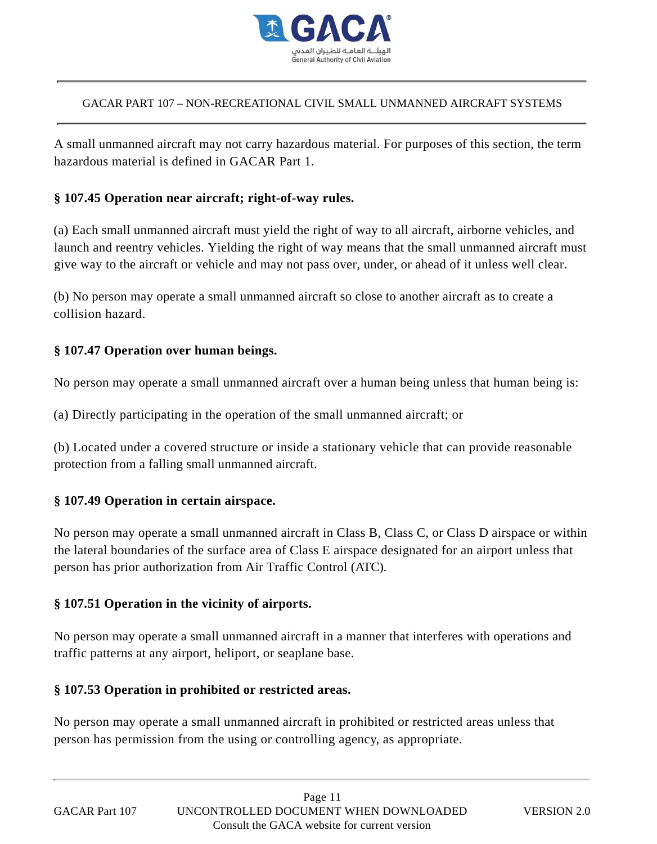

A small unmanned aircraft may not carry hazardous material. For purposes of this section, the term hazardous material is defined in GACAR Part 1.

#### **§ 107.45 Operation near aircraft; right-of-way rules.**

(a) Each small unmanned aircraft must yield the right of way to all aircraft, airborne vehicles, and launch and reentry vehicles. Yielding the right of way means that the small unmanned aircraft must give way to the aircraft or vehicle and may not pass over, under, or ahead of it unless well clear. CACAR PART 107 – NON-RECREATIONAL CIVIL SMALL IDNAANNED AIRCRAFT SYSTEMS<br>A small ummanned aircraft may not carry hazardous material. For purposes of this section, the b<br>abaraclous material is defined in GACAR Part 1.<br>
8 10

(b) No person may operate a small unmanned aircraft so close to another aircraft as to create a collision hazard.

#### **§ 107.47 Operation over human beings.**

No person may operate a small unmanned aircraft over a human being unless that human being is:

(a) Directly participating in the operation of the small unmanned aircraft; or

(b) Located under a covered structure or inside a stationary vehicle that can provide reasonable protection from a falling small unmanned aircraft.

#### **§ 107.49 Operation in certain airspace.**

No person may operate a small unmanned aircraft in Class B, Class C, or Class D airspace or within the lateral boundaries of the surface area of Class E airspace designated for an airport unless that person has prior authorization from Air Traffic Control (ATC).

#### **§ 107.51 Operation in the vicinity of airports.**

No person may operate a small unmanned aircraft in a manner that interferes with operations and traffic patterns at any airport, heliport, or seaplane base.

#### **§ 107.53 Operation in prohibited or restricted areas.**

No person may operate a small unmanned aircraft in prohibited or restricted areas unless that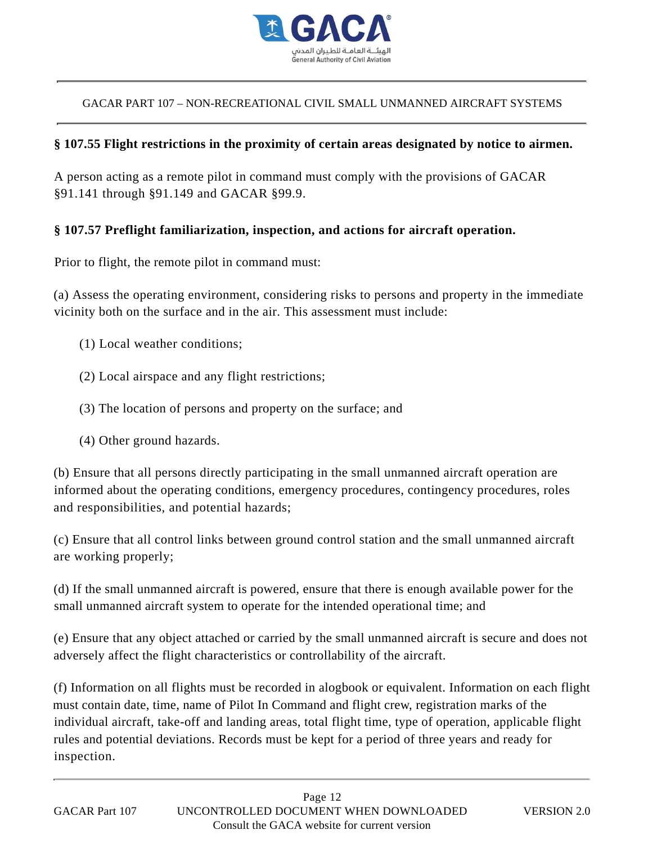

#### **§ 107.55 Flight restrictions in the proximity of certain areas designated by notice to airmen.**

A person acting as a remote pilot in command must comply with the provisions of GACAR §91.141 through §91.149 and GACAR §99.9.

#### **§ 107.57 Preflight familiarization, inspection, and actions for aircraft operation.**

Prior to flight, the remote pilot in command must:

(a) Assess the operating environment, considering risks to persons and property in the immediate vicinity both on the surface and in the air. This assessment must include:

- (1) Local weather conditions;
- (2) Local airspace and any flight restrictions;
- (3) The location of persons and property on the surface; and
- (4) Other ground hazards.

(b) Ensure that all persons directly participating in the small unmanned aircraft operation are informed about the operating conditions, emergency procedures, contingency procedures, roles and responsibilities, and potential hazards;

(c) Ensure that all control links between ground control station and the small unmanned aircraft are working properly;

(d) If the small unmanned aircraft is powered, ensure that there is enough available power for the small unmanned aircraft system to operate for the intended operational time; and

(e) Ensure that any object attached or carried by the small unmanned aircraft is secure and does not adversely affect the flight characteristics or controllability of the aircraft.

(f) Information on all flights must be recorded in alogbook or equivalent. Information on each flight must contain date, time, name of Pilot In Command and flight crew, registration marks of the individual aircraft, take-off and landing areas, total flight time, type of operation, applicable flight rules and potential deviations. Records must be kept for a period of three years and ready for inspection.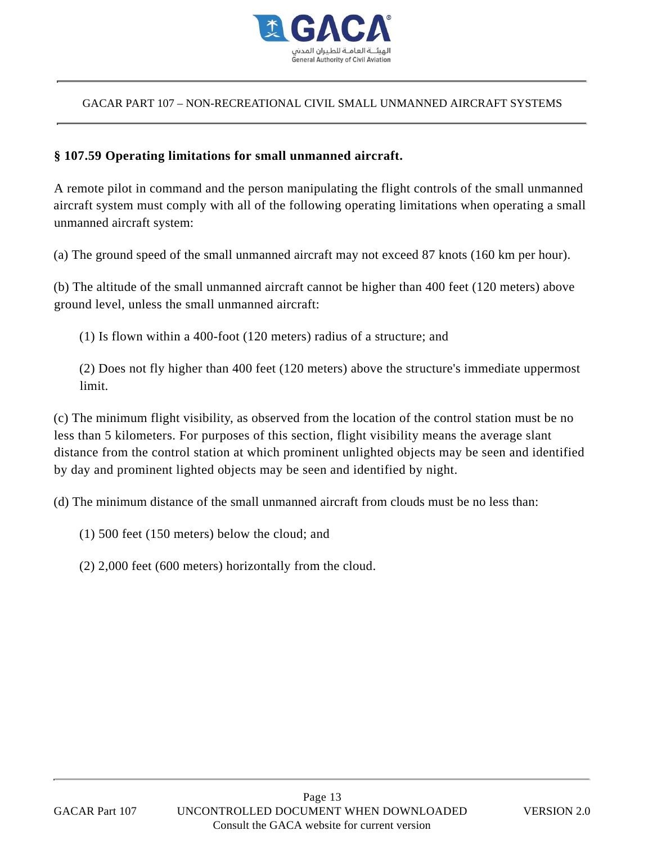

#### **§ 107.59 Operating limitations for small unmanned aircraft.**

A remote pilot in command and the person manipulating the flight controls of the small unmanned aircraft system must comply with all of the following operating limitations when operating a small unmanned aircraft system:

(a) The ground speed of the small unmanned aircraft may not exceed 87 knots (160 km per hour).

(b) The altitude of the small unmanned aircraft cannot be higher than 400 feet (120 meters) above ground level, unless the small unmanned aircraft:

(1) Is flown within a 400-foot (120 meters) radius of a structure; and

(2) Does not fly higher than 400 feet (120 meters) above the structure's immediate uppermost limit.

(c) The minimum flight visibility, as observed from the location of the control station must be no less than 5 kilometers. For purposes of this section, flight visibility means the average slant distance from the control station at which prominent unlighted objects may be seen and identified by day and prominent lighted objects may be seen and identified by night.

(d) The minimum distance of the small unmanned aircraft from clouds must be no less than:

- (1) 500 feet (150 meters) below the cloud; and
- (2) 2,000 feet (600 meters) horizontally from the cloud.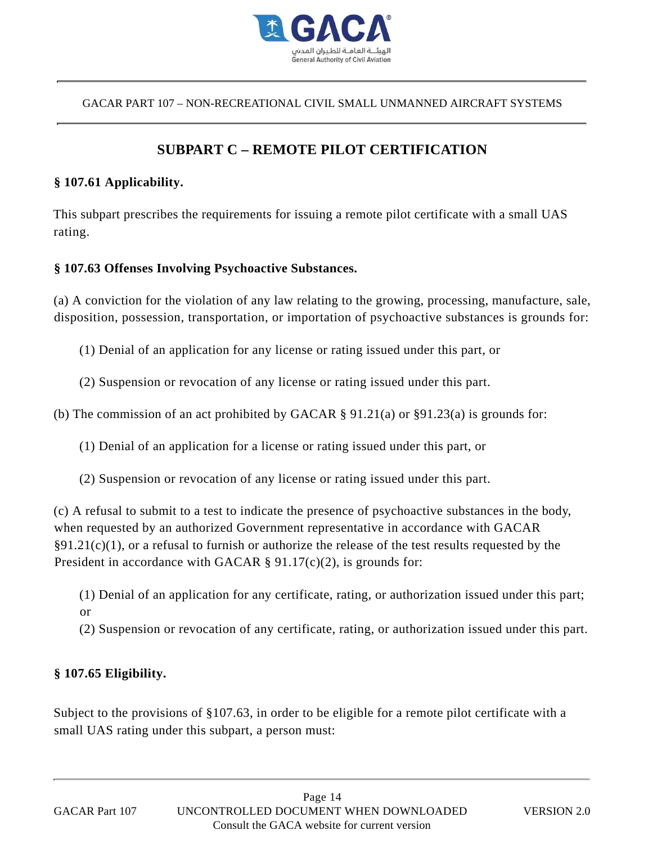

# **SUBPART C – REMOTE PILOT CERTIFICATION**

#### **§ 107.61 Applicability.**

This subpart prescribes the requirements for issuing a remote pilot certificate with a small UAS rating.

#### **§ 107.63 Offenses Involving Psychoactive Substances.**

(a) A conviction for the violation of any law relating to the growing, processing, manufacture, sale, disposition, possession, transportation, or importation of psychoactive substances is grounds for:

(1) Denial of an application for any license or rating issued under this part, or

(2) Suspension or revocation of any license or rating issued under this part.

(b) The commission of an act prohibited by GACAR § 91.21(a) or §91.23(a) is grounds for:

(1) Denial of an application for a license or rating issued under this part, or

(2) Suspension or revocation of any license or rating issued under this part.

(c) A refusal to submit to a test to indicate the presence of psychoactive substances in the body, when requested by an authorized Government representative in accordance with GACAR  $\S91.21(c)(1)$ , or a refusal to furnish or authorize the release of the test results requested by the President in accordance with GACAR § 91.17(c)(2), is grounds for:

(1) Denial of an application for any certificate, rating, or authorization issued under this part; or

(2) Suspension or revocation of any certificate, rating, or authorization issued under this part.

#### **§ 107.65 Eligibility.**

Subject to the provisions of §107.63, in order to be eligible for a remote pilot certificate with a small UAS rating under this subpart, a person must: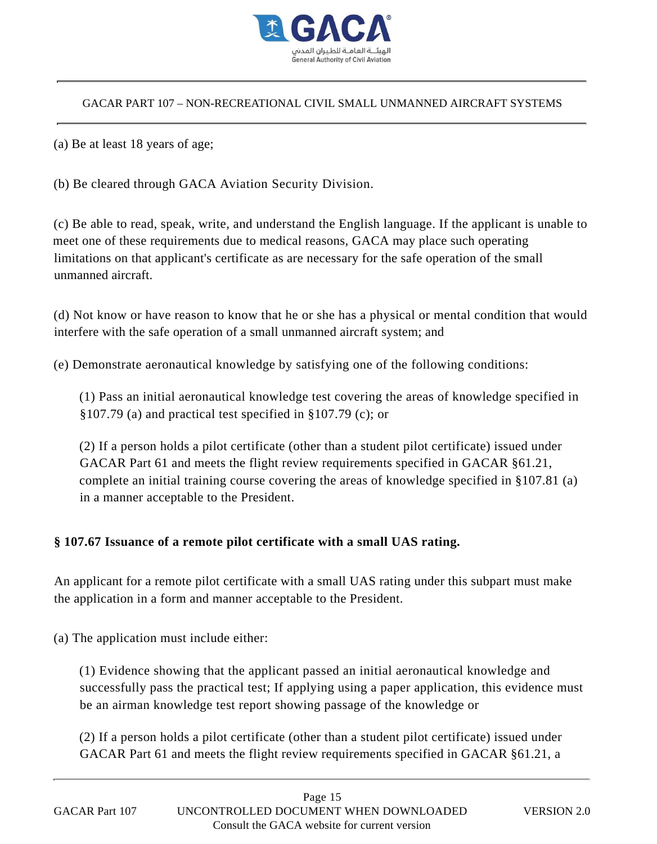

(a) Be at least 18 years of age;

(b) Be cleared through GACA Aviation Security Division.

(c) Be able to read, speak, write, and understand the English language. If the applicant is unable to meet one of these requirements due to medical reasons, GACA may place such operating limitations on that applicant's certificate as are necessary for the safe operation of the small unmanned aircraft.

(d) Not know or have reason to know that he or she has a physical or mental condition that would interfere with the safe operation of a small unmanned aircraft system; and

(e) Demonstrate aeronautical knowledge by satisfying one of the following conditions:

(1) Pass an initial aeronautical knowledge test covering the areas of knowledge specified in §107.79 (a) and practical test specified in §107.79 (c); or

(2) If a person holds a pilot certificate (other than a student pilot certificate) issued under GACAR Part 61 and meets the flight review requirements specified in GACAR §61.21, complete an initial training course covering the areas of knowledge specified in §107.81 (a) in a manner acceptable to the President.

#### **§ 107.67 Issuance of a remote pilot certificate with a small UAS rating.**

An applicant for a remote pilot certificate with a small UAS rating under this subpart must make the application in a form and manner acceptable to the President.

(a) The application must include either:

(1) Evidence showing that the applicant passed an initial aeronautical knowledge and successfully pass the practical test; If applying using a paper application, this evidence must be an airman knowledge test report showing passage of the knowledge or

(2) If a person holds a pilot certificate (other than a student pilot certificate) issued under GACAR Part 61 and meets the flight review requirements specified in GACAR §61.21, a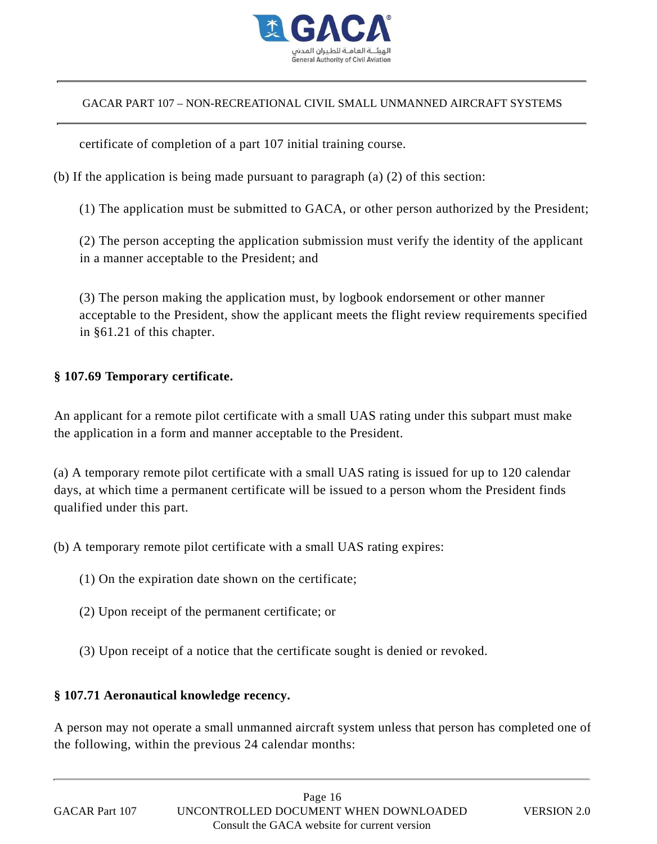

certificate of completion of a part 107 initial training course.

(b) If the application is being made pursuant to paragraph (a) (2) of this section:

(1) The application must be submitted to GACA, or other person authorized by the President;

(2) The person accepting the application submission must verify the identity of the applicant in a manner acceptable to the President; and

(3) The person making the application must, by logbook endorsement or other manner acceptable to the President, show the applicant meets the flight review requirements specified in §61.21 of this chapter.

#### **§ 107.69 Temporary certificate.**

An applicant for a remote pilot certificate with a small UAS rating under this subpart must make the application in a form and manner acceptable to the President.

(a) A temporary remote pilot certificate with a small UAS rating is issued for up to 120 calendar days, at which time a permanent certificate will be issued to a person whom the President finds qualified under this part. CACAR PART 107 – NOV RECREATIONAL CIVIL SMALL UNMANNED AIRCRAFT SYSTEMS<br>
certificate of completion of a part 107 initial training course.<br>
(b) If the application is being made pursuant to paragraph (a) (2) of this section

(b) A temporary remote pilot certificate with a small UAS rating expires:

- (1) On the expiration date shown on the certificate;
- (2) Upon receipt of the permanent certificate; or
- (3) Upon receipt of a notice that the certificate sought is denied or revoked.

#### **§ 107.71 Aeronautical knowledge recency.**

A person may not operate a small unmanned aircraft system unless that person has completed one of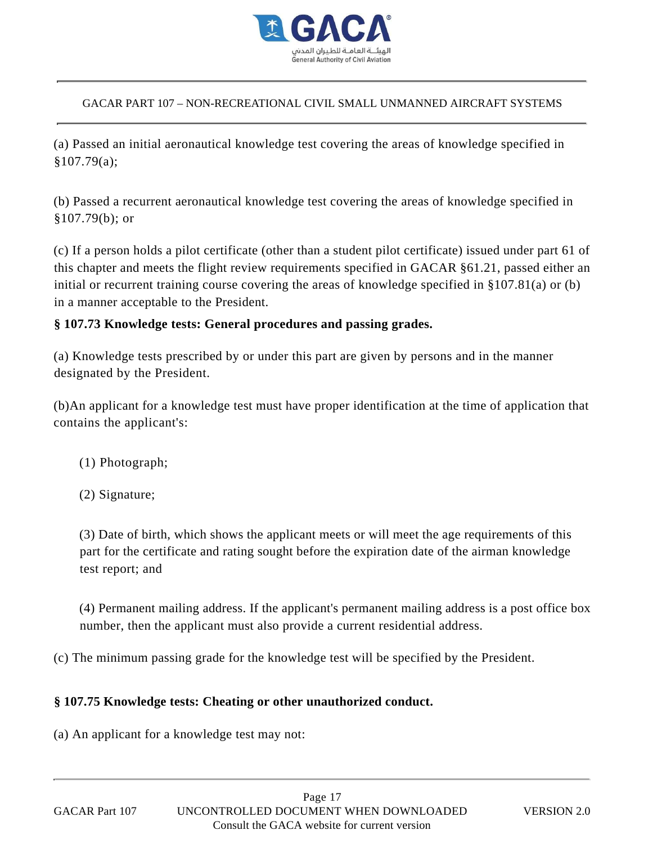

(a) Passed an initial aeronautical knowledge test covering the areas of knowledge specified in §107.79(a);

(b) Passed a recurrent aeronautical knowledge test covering the areas of knowledge specified in §107.79(b); or

(c) If a person holds a pilot certificate (other than a student pilot certificate) issued under part 61 of this chapter and meets the flight review requirements specified in GACAR §61.21, passed either an initial or recurrent training course covering the areas of knowledge specified in §107.81(a) or (b) in a manner acceptable to the President. (a) CACAR PART 107 – NON-RECREATIONAL CIVIL SMALL UNMANNED AIRCRAFT SYSTEMS<br>
(a) Passed an initial acronautical knowledge test covering the areas of knowledge specified it<br>
\$107.79(a);<br>
(b) Fassed a recurrent acromautical

#### **§ 107.73 Knowledge tests: General procedures and passing grades.**

(a) Knowledge tests prescribed by or under this part are given by persons and in the manner designated by the President.

(b)An applicant for a knowledge test must have proper identification at the time of application that contains the applicant's:

- (1) Photograph;
- (2) Signature;

(3) Date of birth, which shows the applicant meets or will meet the age requirements of this part for the certificate and rating sought before the expiration date of the airman knowledge test report; and

(4) Permanent mailing address. If the applicant's permanent mailing address is a post office box number, then the applicant must also provide a current residential address.

(c) The minimum passing grade for the knowledge test will be specified by the President.

#### **§ 107.75 Knowledge tests: Cheating or other unauthorized conduct.**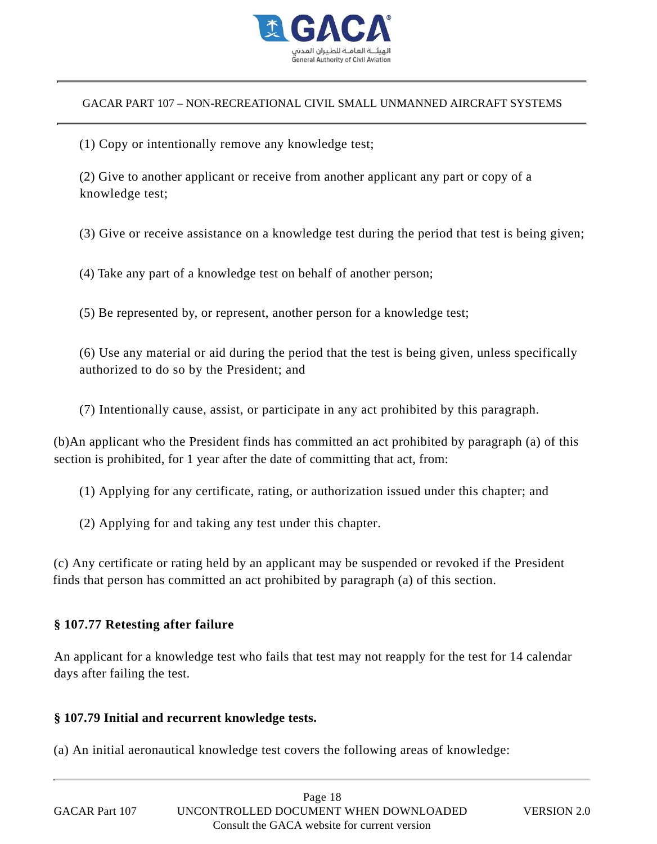

(1) Copy or intentionally remove any knowledge test;

(2) Give to another applicant or receive from another applicant any part or copy of a knowledge test;

(3) Give or receive assistance on a knowledge test during the period that test is being given;

(4) Take any part of a knowledge test on behalf of another person;

(5) Be represented by, or represent, another person for a knowledge test;

(6) Use any material or aid during the period that the test is being given, unless specifically authorized to do so by the President; and

(7) Intentionally cause, assist, or participate in any act prohibited by this paragraph.

(b)An applicant who the President finds has committed an act prohibited by paragraph (a) of this section is prohibited, for 1 year after the date of committing that act, from:

(1) Applying for any certificate, rating, or authorization issued under this chapter; and

(2) Applying for and taking any test under this chapter.

(c) Any certificate or rating held by an applicant may be suspended or revoked if the President finds that person has committed an act prohibited by paragraph (a) of this section.

#### **§ 107.77 Retesting after failure**

An applicant for a knowledge test who fails that test may not reapply for the test for 14 calendar days after failing the test.

#### **§ 107.79 Initial and recurrent knowledge tests.**

(a) An initial aeronautical knowledge test covers the following areas of knowledge:

|                | Page 18                                      |
|----------------|----------------------------------------------|
| GACAR Part 107 | UNCONTROLLED DOCUMENT WHEN DOWNLOADED        |
|                | Consult the GACA website for current version |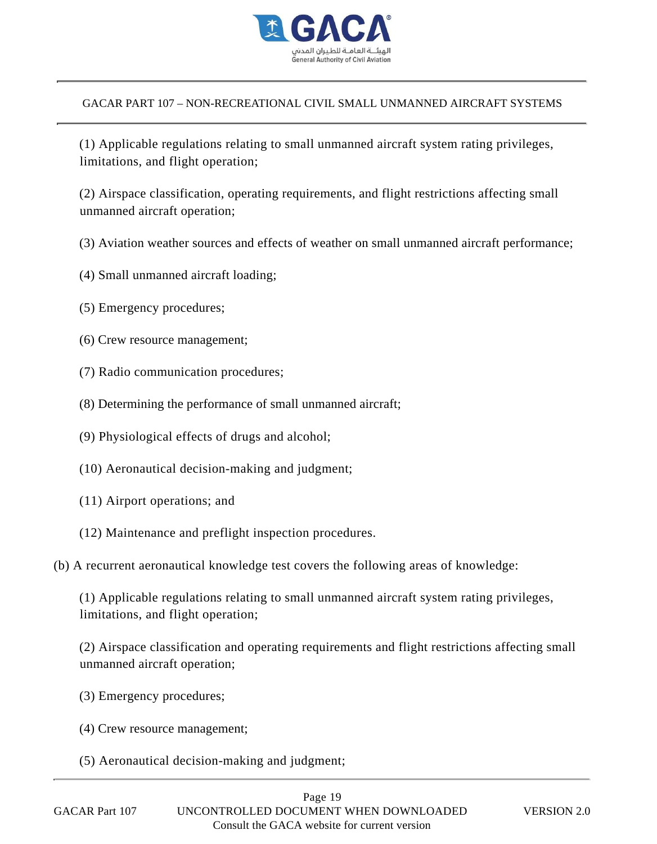

(1) Applicable regulations relating to small unmanned aircraft system rating privileges, limitations, and flight operation;

(2) Airspace classification, operating requirements, and flight restrictions affecting small unmanned aircraft operation;

- (3) Aviation weather sources and effects of weather on small unmanned aircraft performance;
- (4) Small unmanned aircraft loading;
- (5) Emergency procedures;
- (6) Crew resource management;
- (7) Radio communication procedures;
- (8) Determining the performance of small unmanned aircraft;
- (9) Physiological effects of drugs and alcohol;
- (10) Aeronautical decision-making and judgment;
- (11) Airport operations; and
- (12) Maintenance and preflight inspection procedures.
- (b) A recurrent aeronautical knowledge test covers the following areas of knowledge:

(1) Applicable regulations relating to small unmanned aircraft system rating privileges, limitations, and flight operation;

(2) Airspace classification and operating requirements and flight restrictions affecting small unmanned aircraft operation;

- (3) Emergency procedures;
- (4) Crew resource management;
- (5) Aeronautical decision-making and judgment;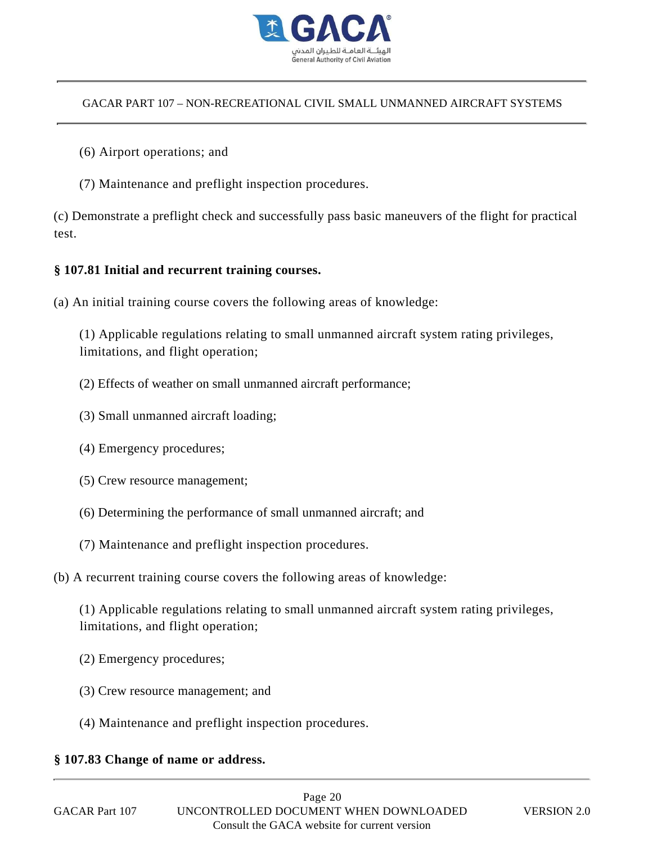

- (6) Airport operations; and
- (7) Maintenance and preflight inspection procedures.

(c) Demonstrate a preflight check and successfully pass basic maneuvers of the flight for practical test.

#### **§ 107.81 Initial and recurrent training courses.**

(a) An initial training course covers the following areas of knowledge:

(1) Applicable regulations relating to small unmanned aircraft system rating privileges, limitations, and flight operation;

- (2) Effects of weather on small unmanned aircraft performance;
- (3) Small unmanned aircraft loading;
- (4) Emergency procedures;
- (5) Crew resource management;
- (6) Determining the performance of small unmanned aircraft; and
- (7) Maintenance and preflight inspection procedures.
- (b) A recurrent training course covers the following areas of knowledge:

(1) Applicable regulations relating to small unmanned aircraft system rating privileges, limitations, and flight operation;

- (2) Emergency procedures;
- (3) Crew resource management; and
- (4) Maintenance and preflight inspection procedures.

#### **§ 107.83 Change of name or address.**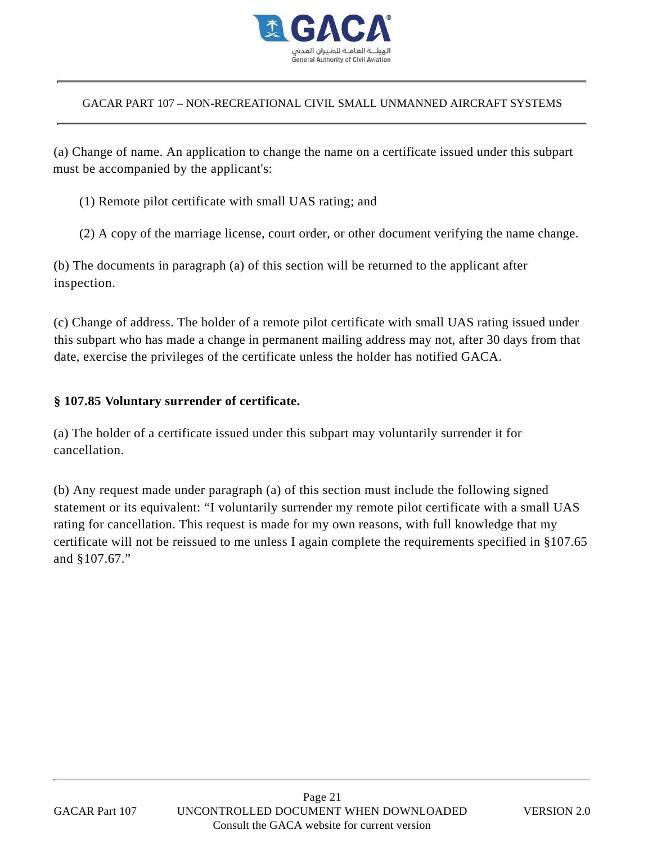

(a) Change of name. An application to change the name on a certificate issued under this subpart must be accompanied by the applicant's:

(1) Remote pilot certificate with small UAS rating; and

(2) A copy of the marriage license, court order, or other document verifying the name change.

(b) The documents in paragraph (a) of this section will be returned to the applicant after inspection.

(c) Change of address. The holder of a remote pilot certificate with small UAS rating issued under this subpart who has made a change in permanent mailing address may not, after 30 days from that date, exercise the privileges of the certificate unless the holder has notified GACA.

#### **§ 107.85 Voluntary surrender of certificate.**

(a) The holder of a certificate issued under this subpart may voluntarily surrender it for cancellation.

(b) Any request made under paragraph (a) of this section must include the following signed statement or its equivalent: "I voluntarily surrender my remote pilot certificate with a small UAS rating for cancellation. This request is made for my own reasons, with full knowledge that my certificate will not be reissued to me unless I again complete the requirements specified in §107.65 and §107.67."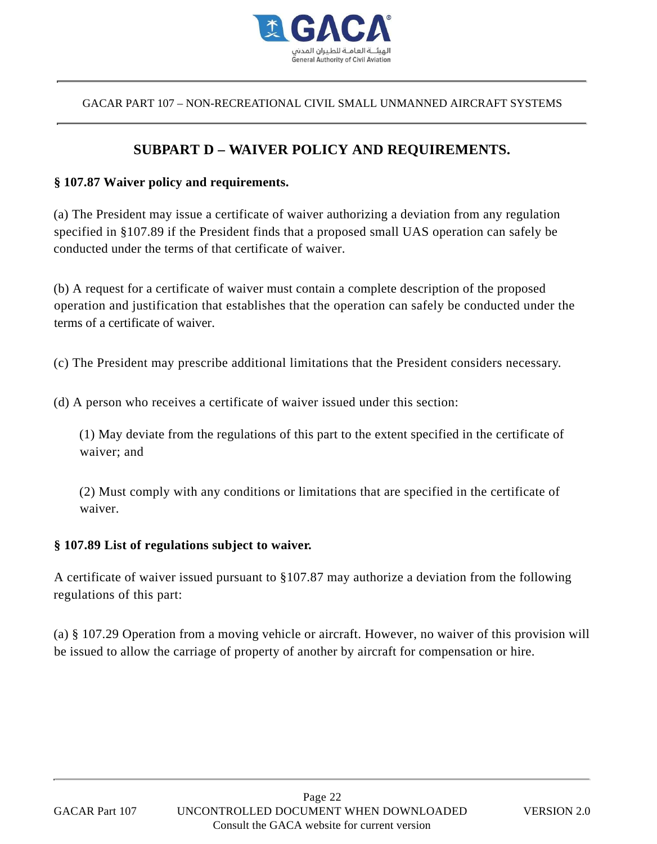

## **SUBPART D – WAIVER POLICY AND REQUIREMENTS.**

#### **§ 107.87 Waiver policy and requirements.**

(a) The President may issue a certificate of waiver authorizing a deviation from any regulation specified in §107.89 if the President finds that a proposed small UAS operation can safely be conducted under the terms of that certificate of waiver.

(b) A request for a certificate of waiver must contain a complete description of the proposed operation and justification that establishes that the operation can safely be conducted under the terms of a certificate of waiver.

(c) The President may prescribe additional limitations that the President considers necessary.

(d) A person who receives a certificate of waiver issued under this section:

(1) May deviate from the regulations of this part to the extent specified in the certificate of waiver; and

(2) Must comply with any conditions or limitations that are specified in the certificate of waiver.

#### **§ 107.89 List of regulations subject to waiver.**

A certificate of waiver issued pursuant to §107.87 may authorize a deviation from the following regulations of this part:

(a) § 107.29 Operation from a moving vehicle or aircraft. However, no waiver of this provision will be issued to allow the carriage of property of another by aircraft for compensation or hire.